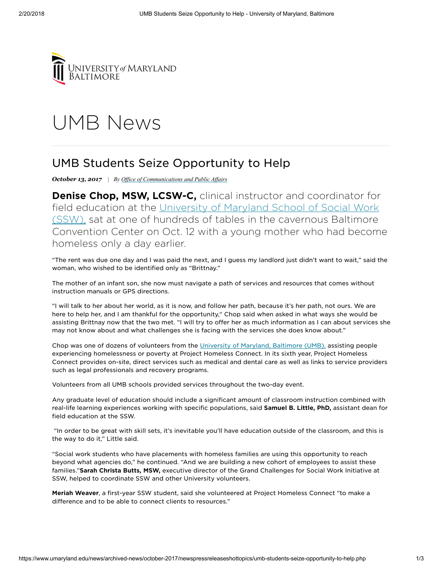

## UMB [News](https://www.umaryland.edu/news/)

## UMB Students Seize Opportunity to Help

*October 13, 2017 | By Office of [Communications](mailto:maryphelan@umaryland.edu) and Public Affairs* 

Denise Chop, MSW, LCSW-C, clinical instructor and coordinator for field education at the University of Maryland School of Social Work (SSW), sat at one of hundreds of tables in the [cavernous Baltimore](mailto:http://www.ssw.umaryland.edu/) Convention Center on Oct. 12 with a young mother who had become homeless only a day earlier.

"The rent was due one day and I was paid the next, and I guess my landlord just didn't want to wait," said the woman, who wished to be identified only as "Brittnay."

The mother of an infant son, she now must navigate a path of services and resources that comes without instruction manuals or GPS directions.

"I will talk to her about her world, as it is now, and follow her path, because it's her path, not ours. We are here to help her, and I am thankful for the opportunity," Chop said when asked in what ways she would be assisting Brittnay now that the two met. "I will try to offer her as much information as I can about services she may not know about and what challenges she is facing with the services she does know about."

Chop was one of dozens of volunteers from the [University of Maryland,](mailto:www.umaryland.edu) Baltimore (UMB), assisting people experiencing homelessness or poverty at Project Homeless Connect. In its sixth year, Project Homeless Connect provides on-site, direct services such as medical and dental care as well as links to service providers such as legal professionals and recovery programs.

Volunteers from all UMB schools provided services throughout the two-day event.

Any graduate level of education should include a significant amount of classroom instruction combined with real-life learning experiences working with specific populations, said Samuel B. Little, PhD, assistant dean for field education at the SSW.

"In order to be great with skill sets, it's inevitable you'll have education outside of the classroom, and this is the way to do it," Little said.

"Social work students who have placements with homeless families are using this opportunity to reach beyond what agencies do," he continued. "And we are building a new cohort of employees to assist these families."Sarah Christa Butts, MSW, executive director of the Grand Challenges for Social Work Initiative at SSW, helped to coordinate SSW and other University volunteers.

Meriah Weaver, a first-year SSW student, said she volunteered at Project Homeless Connect "to make a difference and to be able to connect clients to resources."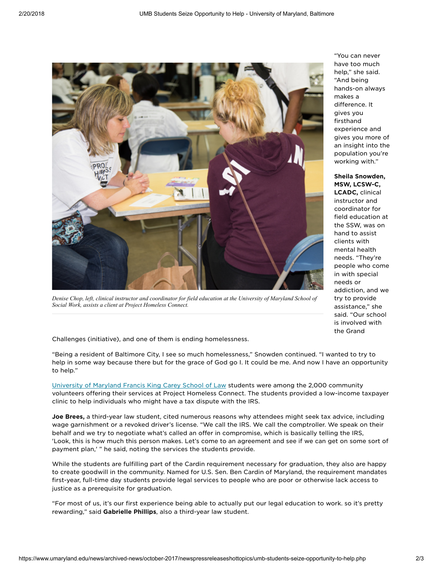

Denise Chop, left, clinical instructor and coordinator for field education at the University of Maryland School of *Social Work, assists a client at Project Homeless Connect.*

"You can never have too much help," she said. "And being hands-on always makes a difference. It gives you firsthand experience and gives you more of an insight into the population you're working with."

Sheila Snowden, MSW, LCSW-C,

LCADC, clinical instructor and coordinator for field education at the SSW, was on hand to assist clients with mental health needs. "They're people who come in with special needs or addiction, and we try to provide assistance," she said. "Our school is involved with the Grand

Challenges (initiative), and one of them is ending homelessness.

"Being a resident of Baltimore City, I see so much homelessness," Snowden continued. "I wanted to try to help in some way because there but for the grace of God go I. It could be me. And now I have an opportunity to help."

[University of Maryland](mailto:http://www.law.umaryland.edu/index.html) Francis King Carey School of Law students were among the 2,000 community volunteers offering their services at Project Homeless Connect. The students provided a low-income taxpayer clinic to help individuals who might have a tax dispute with the IRS.

Joe Brees, a third-year law student, cited numerous reasons why attendees might seek tax advice, including wage garnishment or a revoked driver's license. "We call the IRS. We call the comptroller. We speak on their behalf and we try to negotiate what's called an offer in compromise, which is basically telling the IRS, 'Look, this is how much this person makes. Let's come to an agreement and see if we can get on some sort of payment plan,' " he said, noting the services the students provide.

While the students are fulfilling part of the Cardin requirement necessary for graduation, they also are happy to create goodwill in the community. Named for U.S. Sen. Ben Cardin of Maryland, the requirement mandates first-year, full-time day students provide legal services to people who are poor or otherwise lack access to justice as a prerequisite for graduation.

"For most of us, it's our first experience being able to actually put our legal education to work. so it's pretty rewarding," said Gabrielle Phillips, also a third-year law student.